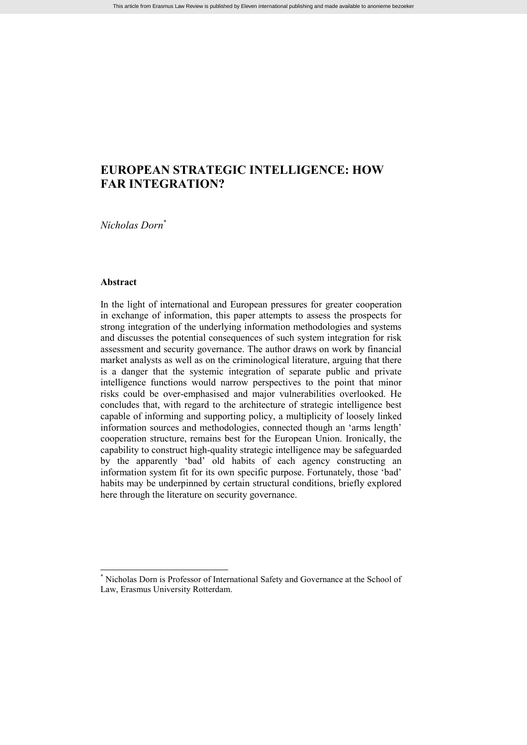# **EUROPEAN STRATEGIC INTELLIGENCE: HOW FAR INTEGRATION?**

*Nicholas Dorn*\*

#### **Abstract**

In the light of international and European pressures for greater cooperation in exchange of information, this paper attempts to assess the prospects for strong integration of the underlying information methodologies and systems and discusses the potential consequences of such system integration for risk assessment and security governance. The author draws on work by financial market analysts as well as on the criminological literature, arguing that there is a danger that the systemic integration of separate public and private intelligence functions would narrow perspectives to the point that minor risks could be over-emphasised and major vulnerabilities overlooked. He concludes that, with regard to the architecture of strategic intelligence best capable of informing and supporting policy, a multiplicity of loosely linked information sources and methodologies, connected though an 'arms length' cooperation structure, remains best for the European Union. Ironically, the capability to construct high-quality strategic intelligence may be safeguarded by the apparently 'bad' old habits of each agency constructing an information system fit for its own specific purpose. Fortunately, those 'bad' habits may be underpinned by certain structural conditions, briefly explored here through the literature on security governance.

Nicholas Dorn is Professor of International Safety and Governance at the School of Law, Erasmus University Rotterdam.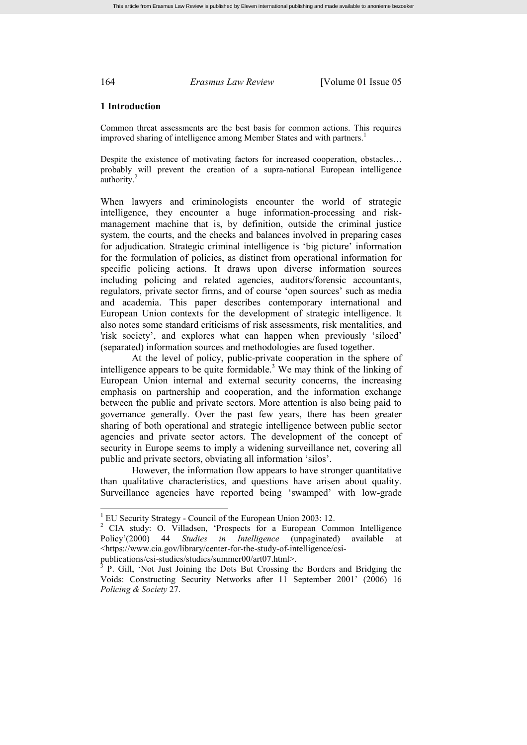#### **1 Introduction**

Common threat assessments are the best basis for common actions. This requires improved sharing of intelligence among Member States and with partners.<sup>1</sup>

Despite the existence of motivating factors for increased cooperation, obstacles… probably will prevent the creation of a supra-national European intelligence authority.<sup>2</sup>

When lawyers and criminologists encounter the world of strategic intelligence, they encounter a huge information-processing and riskmanagement machine that is, by definition, outside the criminal justice system, the courts, and the checks and balances involved in preparing cases for adjudication. Strategic criminal intelligence is 'big picture' information for the formulation of policies, as distinct from operational information for specific policing actions. It draws upon diverse information sources including policing and related agencies, auditors/forensic accountants, regulators, private sector firms, and of course 'open sources' such as media and academia. This paper describes contemporary international and European Union contexts for the development of strategic intelligence. It also notes some standard criticisms of risk assessments, risk mentalities, and 'risk society', and explores what can happen when previously 'siloed' (separated) information sources and methodologies are fused together.

At the level of policy, public-private cooperation in the sphere of intelligence appears to be quite formidable.<sup>3</sup> We may think of the linking of European Union internal and external security concerns, the increasing emphasis on partnership and cooperation, and the information exchange between the public and private sectors. More attention is also being paid to governance generally. Over the past few years, there has been greater sharing of both operational and strategic intelligence between public sector agencies and private sector actors. The development of the concept of security in Europe seems to imply a widening surveillance net, covering all public and private sectors, obviating all information 'silos'.

However, the information flow appears to have stronger quantitative than qualitative characteristics, and questions have arisen about quality. Surveillance agencies have reported being 'swamped' with low-grade

publications/csi-studies/studies/summer00/art07.html>.

<sup>1</sup> EU Security Strategy - Council of the European Union 2003: 12.

<sup>&</sup>lt;sup>2</sup> CIA study: O. Villadsen, 'Prospects for a European Common Intelligence Policy'(2000) 44 *Studies in Intelligence* (unpaginated) available at <https://www.cia.gov/library/center-for-the-study-of-intelligence/csi-

<sup>3</sup> P. Gill, 'Not Just Joining the Dots But Crossing the Borders and Bridging the Voids: Constructing Security Networks after 11 September 2001' (2006) 16 *Policing & Society* 27.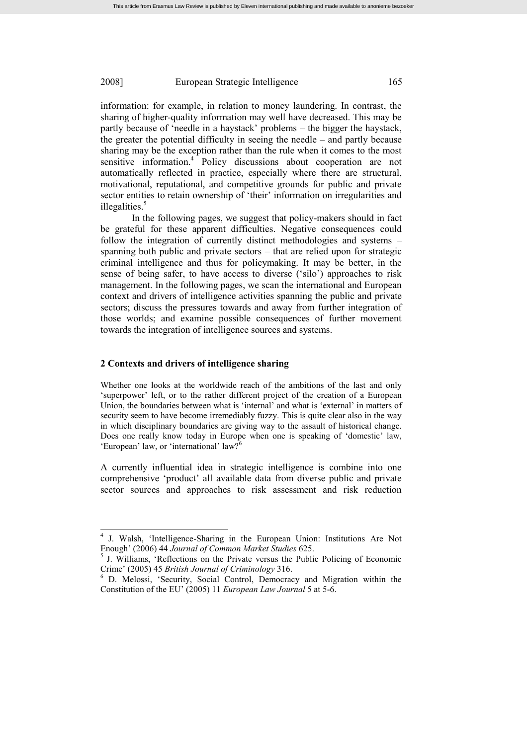information: for example, in relation to money laundering. In contrast, the sharing of higher-quality information may well have decreased. This may be partly because of 'needle in a haystack' problems – the bigger the haystack, the greater the potential difficulty in seeing the needle – and partly because sharing may be the exception rather than the rule when it comes to the most sensitive information.<sup>4</sup> Policy discussions about cooperation are not automatically reflected in practice, especially where there are structural, motivational, reputational, and competitive grounds for public and private sector entities to retain ownership of 'their' information on irregularities and illegalities. $5$ 

In the following pages, we suggest that policy-makers should in fact be grateful for these apparent difficulties. Negative consequences could follow the integration of currently distinct methodologies and systems – spanning both public and private sectors – that are relied upon for strategic criminal intelligence and thus for policymaking. It may be better, in the sense of being safer, to have access to diverse ('silo') approaches to risk management. In the following pages, we scan the international and European context and drivers of intelligence activities spanning the public and private sectors; discuss the pressures towards and away from further integration of those worlds; and examine possible consequences of further movement towards the integration of intelligence sources and systems.

## **2 Contexts and drivers of intelligence sharing**

Whether one looks at the worldwide reach of the ambitions of the last and only 'superpower' left, or to the rather different project of the creation of a European Union, the boundaries between what is 'internal' and what is 'external' in matters of security seem to have become irremediably fuzzy. This is quite clear also in the way in which disciplinary boundaries are giving way to the assault of historical change. Does one really know today in Europe when one is speaking of 'domestic' law, 'European' law, or 'international' law?<sup>6</sup>

A currently influential idea in strategic intelligence is combine into one comprehensive 'product' all available data from diverse public and private sector sources and approaches to risk assessment and risk reduction

<sup>4</sup> J. Walsh, 'Intelligence-Sharing in the European Union: Institutions Are Not Enough' (2006) 44 *Journal of Common Market Studies* 625.

<sup>&</sup>lt;sup>5</sup> J. Williams, 'Reflections on the Private versus the Public Policing of Economic Crime' (2005) 45 *British Journal of Criminology* 316.

<sup>6</sup> D. Melossi, 'Security, Social Control, Democracy and Migration within the Constitution of the EU' (2005) 11 *European Law Journal* 5 at 5-6.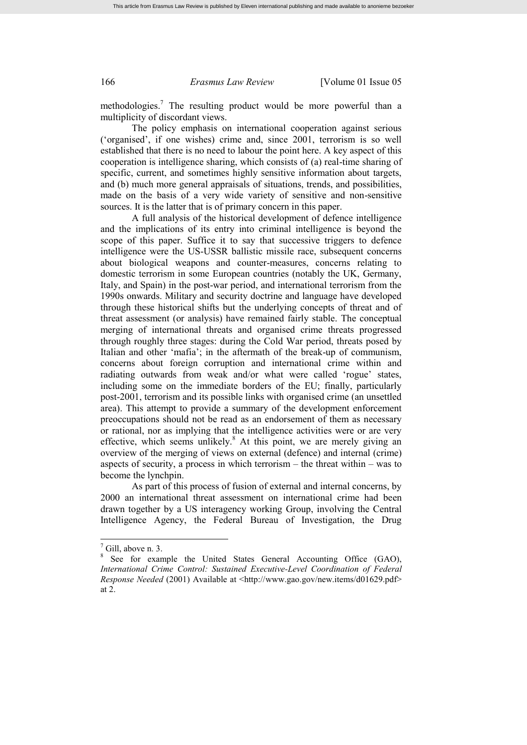methodologies.<sup>7</sup> The resulting product would be more powerful than a multiplicity of discordant views.

The policy emphasis on international cooperation against serious ('organised', if one wishes) crime and, since 2001, terrorism is so well established that there is no need to labour the point here. A key aspect of this cooperation is intelligence sharing, which consists of (a) real-time sharing of specific, current, and sometimes highly sensitive information about targets, and (b) much more general appraisals of situations, trends, and possibilities, made on the basis of a very wide variety of sensitive and non-sensitive sources. It is the latter that is of primary concern in this paper.

A full analysis of the historical development of defence intelligence and the implications of its entry into criminal intelligence is beyond the scope of this paper. Suffice it to say that successive triggers to defence intelligence were the US-USSR ballistic missile race, subsequent concerns about biological weapons and counter-measures, concerns relating to domestic terrorism in some European countries (notably the UK, Germany, Italy, and Spain) in the post-war period, and international terrorism from the 1990s onwards. Military and security doctrine and language have developed through these historical shifts but the underlying concepts of threat and of threat assessment (or analysis) have remained fairly stable. The conceptual merging of international threats and organised crime threats progressed through roughly three stages: during the Cold War period, threats posed by Italian and other 'mafia'; in the aftermath of the break-up of communism, concerns about foreign corruption and international crime within and radiating outwards from weak and/or what were called 'rogue' states, including some on the immediate borders of the EU; finally, particularly post-2001, terrorism and its possible links with organised crime (an unsettled area). This attempt to provide a summary of the development enforcement preoccupations should not be read as an endorsement of them as necessary or rational, nor as implying that the intelligence activities were or are very effective, which seems unlikely.<sup>8</sup> At this point, we are merely giving an overview of the merging of views on external (defence) and internal (crime) aspects of security, a process in which terrorism – the threat within – was to become the lynchpin.

As part of this process of fusion of external and internal concerns, by 2000 an international threat assessment on international crime had been drawn together by a US interagency working Group, involving the Central Intelligence Agency, the Federal Bureau of Investigation, the Drug

 $7$  Gill, above n. 3.

<sup>&</sup>lt;sup>8</sup> See for example the United States General Accounting Office (GAO), *International Crime Control: Sustained Executive-Level Coordination of Federal Response Needed* (2001) Available at <http://www.gao.gov/new.items/d01629.pdf> at 2.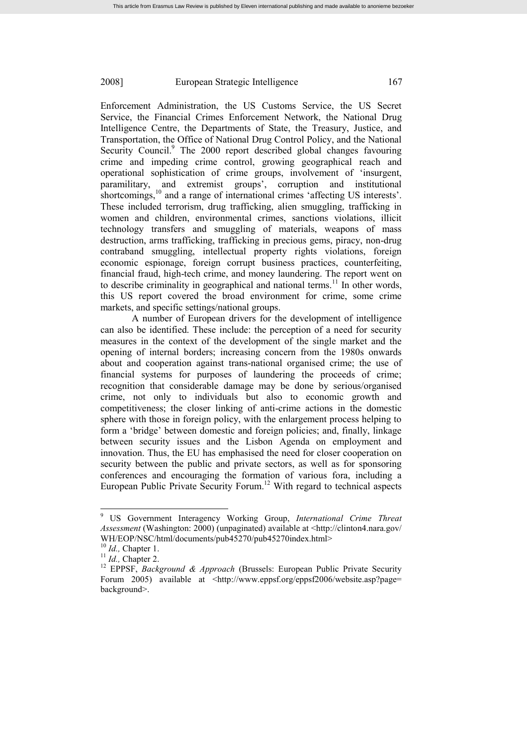Enforcement Administration, the US Customs Service, the US Secret Service, the Financial Crimes Enforcement Network, the National Drug Intelligence Centre, the Departments of State, the Treasury, Justice, and Transportation, the Office of National Drug Control Policy, and the National Security Council.<sup>9</sup> The 2000 report described global changes favouring crime and impeding crime control, growing geographical reach and operational sophistication of crime groups, involvement of 'insurgent, paramilitary, and extremist groups', corruption and institutional shortcomings,<sup>10</sup> and a range of international crimes 'affecting US interests'. These included terrorism, drug trafficking, alien smuggling, trafficking in women and children, environmental crimes, sanctions violations, illicit technology transfers and smuggling of materials, weapons of mass destruction, arms trafficking, trafficking in precious gems, piracy, non-drug contraband smuggling, intellectual property rights violations, foreign economic espionage, foreign corrupt business practices, counterfeiting, financial fraud, high-tech crime, and money laundering. The report went on to describe criminality in geographical and national terms.<sup>11</sup> In other words, this US report covered the broad environment for crime, some crime markets, and specific settings/national groups.

A number of European drivers for the development of intelligence can also be identified. These include: the perception of a need for security measures in the context of the development of the single market and the opening of internal borders; increasing concern from the 1980s onwards about and cooperation against trans-national organised crime; the use of financial systems for purposes of laundering the proceeds of crime; recognition that considerable damage may be done by serious/organised crime, not only to individuals but also to economic growth and competitiveness; the closer linking of anti-crime actions in the domestic sphere with those in foreign policy, with the enlargement process helping to form a 'bridge' between domestic and foreign policies; and, finally, linkage between security issues and the Lisbon Agenda on employment and innovation. Thus, the EU has emphasised the need for closer cooperation on security between the public and private sectors, as well as for sponsoring conferences and encouraging the formation of various fora, including a European Public Private Security Forum. <sup>12</sup> With regard to technical aspects

<sup>9</sup> US Government Interagency Working Group, *International Crime Threat Assessment* (Washington: 2000) (unpaginated) available at <http://clinton4.nara.gov/ WH/EOP/NSC/html/documents/pub45270/pub45270index.html>

<sup>10</sup> *Id.,* Chapter 1.

<sup>11</sup> *Id.,* Chapter 2.

<sup>&</sup>lt;sup>12</sup> EPPSF, *Background & Approach* (Brussels: European Public Private Security Forum 2005) available at <http://www.eppsf.org/eppsf2006/website.asp?page= background>.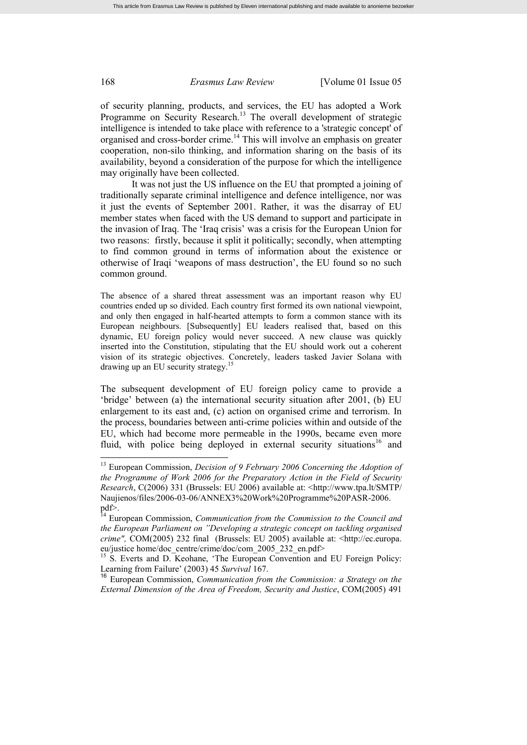of security planning, products, and services, the EU has adopted a Work Programme on Security Research.<sup>13</sup> The overall development of strategic intelligence is intended to take place with reference to a 'strategic concept' of organised and cross-border crime.<sup>14</sup> This will involve an emphasis on greater cooperation, non-silo thinking, and information sharing on the basis of its availability, beyond a consideration of the purpose for which the intelligence may originally have been collected.

It was not just the US influence on the EU that prompted a joining of traditionally separate criminal intelligence and defence intelligence, nor was it just the events of September 2001. Rather, it was the disarray of EU member states when faced with the US demand to support and participate in the invasion of Iraq. The 'Iraq crisis' was a crisis for the European Union for two reasons: firstly, because it split it politically; secondly, when attempting to find common ground in terms of information about the existence or otherwise of Iraqi 'weapons of mass destruction', the EU found so no such common ground.

The absence of a shared threat assessment was an important reason why EU countries ended up so divided. Each country first formed its own national viewpoint, and only then engaged in half-hearted attempts to form a common stance with its European neighbours. [Subsequently] EU leaders realised that, based on this dynamic, EU foreign policy would never succeed. A new clause was quickly inserted into the Constitution, stipulating that the EU should work out a coherent vision of its strategic objectives. Concretely, leaders tasked Javier Solana with drawing up an EU security strategy.<sup>15</sup>

The subsequent development of EU foreign policy came to provide a 'bridge' between (a) the international security situation after 2001, (b) EU enlargement to its east and, (c) action on organised crime and terrorism. In the process, boundaries between anti-crime policies within and outside of the EU, which had become more permeable in the 1990s, became even more fluid, with police being deployed in external security situations<sup>16</sup> and

<sup>13</sup> European Commission, *Decision of 9 February 2006 Concerning the Adoption of the Programme of Work 2006 for the Preparatory Action in the Field of Security Research*, C(2006) 331 (Brussels: EU 2006) available at: <http://www.tpa.lt/SMTP/ Naujienos/files/2006-03-06/ANNEX3%20Work%20Programme%20PASR-2006. pdf>.

<sup>14</sup> European Commission, *Communication from the Commission to the Council and the European Parliament on "Developing a strategic concept on tackling organised crime",* COM(2005) 232 final (Brussels: EU 2005) available at: <http://ec.europa. eu/justice home/doc\_centre/crime/doc/com\_2005\_232\_en.pdf>

<sup>&</sup>lt;sup>15</sup> S. Everts and D. Keohane, 'The European Convention and EU Foreign Policy: Learning from Failure' (2003) 45 *Survival* 167.

<sup>16</sup> European Commission, *Communication from the Commission: a Strategy on the External Dimension of the Area of Freedom, Security and Justice*, COM(2005) 491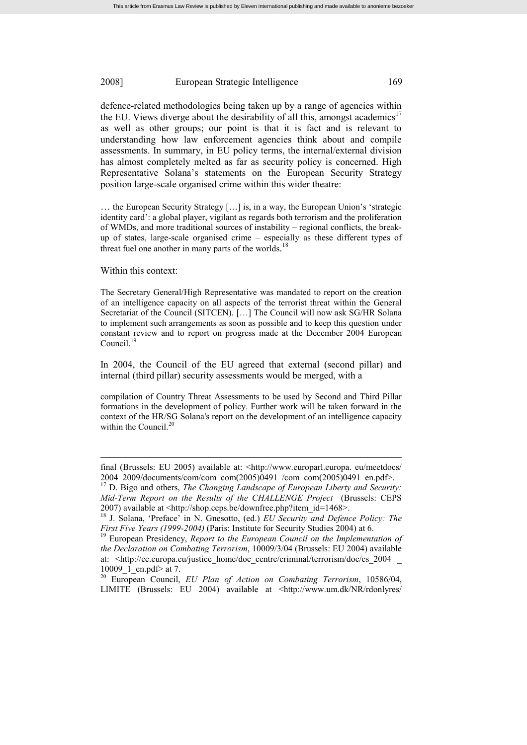defence-related methodologies being taken up by a range of agencies within the EU. Views diverge about the desirability of all this, amongst academics<sup>17</sup> as well as other groups; our point is that it is fact and is relevant to understanding how law enforcement agencies think about and compile assessments. In summary, in EU policy terms, the internal/external division has almost completely melted as far as security policy is concerned. High Representative Solana's statements on the European Security Strategy position large-scale organised crime within this wider theatre:

… the European Security Strategy […] is, in a way, the European Union's 'strategic identity card': a global player, vigilant as regards both terrorism and the proliferation of WMDs, and more traditional sources of instability – regional conflicts, the breakup of states, large-scale organised crime – especially as these different types of threat fuel one another in many parts of the worlds.<sup>18</sup>

#### Within this context:

The Secretary General/High Representative was mandated to report on the creation of an intelligence capacity on all aspects of the terrorist threat within the General Secretariat of the Council (SITCEN). […] The Council will now ask SG/HR Solana to implement such arrangements as soon as possible and to keep this question under constant review and to report on progress made at the December 2004 European Council. $1$ 

In 2004, the Council of the EU agreed that external (second pillar) and internal (third pillar) security assessments would be merged, with a

compilation of Country Threat Assessments to be used by Second and Third Pillar formations in the development of policy. Further work will be taken forward in the context of the HR/SG Solana's report on the development of an intelligence capacity within the Council.<sup>20</sup>

final (Brussels: EU 2005) available at: <http://www.europarl.europa. eu/meetdocs/ 2004\_2009/documents/com/com\_com(2005)0491\_/com\_com(2005)0491\_en.pdf>.

<sup>&</sup>lt;sup>17</sup> D. Bigo and others, *The Changing Landscape of European Liberty and Security: Mid-Term Report on the Results of the CHALLENGE Project* (Brussels: CEPS 2007) available at <http://shop.ceps.be/downfree.php?item\_id=1468>.

<sup>18</sup> J. Solana, 'Preface' in N. Gnesotto, (ed.) *EU Security and Defence Policy: The First Five Years (1999-2004)* (Paris: Institute for Security Studies 2004) at 6.

<sup>19</sup> European Presidency, *Report to the European Council on the Implementation of the Declaration on Combating Terrorism*, 10009/3/04 (Brussels: EU 2004) available at: <http://ec.europa.eu/justice\_home/doc\_centre/criminal/terrorism/doc/cs\_2004 10009 1 en.pdf> at 7.

<sup>20</sup> European Council, *EU Plan of Action on Combating Terrorism*, 10586/04, LIMITE (Brussels: EU 2004) available at <http://www.um.dk/NR/rdonlyres/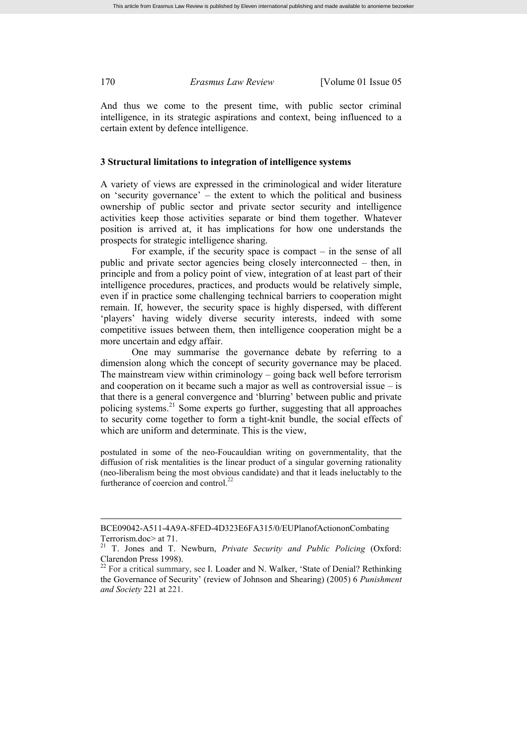And thus we come to the present time, with public sector criminal intelligence, in its strategic aspirations and context, being influenced to a certain extent by defence intelligence.

### **3 Structural limitations to integration of intelligence systems**

A variety of views are expressed in the criminological and wider literature on 'security governance' – the extent to which the political and business ownership of public sector and private sector security and intelligence activities keep those activities separate or bind them together. Whatever position is arrived at, it has implications for how one understands the prospects for strategic intelligence sharing.

For example, if the security space is compact – in the sense of all public and private sector agencies being closely interconnected – then, in principle and from a policy point of view, integration of at least part of their intelligence procedures, practices, and products would be relatively simple, even if in practice some challenging technical barriers to cooperation might remain. If, however, the security space is highly dispersed, with different 'players' having widely diverse security interests, indeed with some competitive issues between them, then intelligence cooperation might be a more uncertain and edgy affair.

One may summarise the governance debate by referring to a dimension along which the concept of security governance may be placed. The mainstream view within criminology – going back well before terrorism and cooperation on it became such a major as well as controversial issue – is that there is a general convergence and 'blurring' between public and private policing systems.<sup>21</sup> Some experts go further, suggesting that all approaches to security come together to form a tight-knit bundle, the social effects of which are uniform and determinate. This is the view,

postulated in some of the neo-Foucauldian writing on governmentality, that the diffusion of risk mentalities is the linear product of a singular governing rationality (neo-liberalism being the most obvious candidate) and that it leads ineluctably to the furtherance of coercion and control.<sup>22</sup>

BCE09042-A511-4A9A-8FED-4D323E6FA315/0/EUPlanofActiononCombating Terrorism.doc> at 71.

<sup>21</sup> T. Jones and T. Newburn, *Private Security and Public Policing* (Oxford: Clarendon Press 1998).

<sup>&</sup>lt;sup>22</sup> For a critical summary, see I. Loader and N. Walker, 'State of Denial? Rethinking the Governance of Security' (review of Johnson and Shearing) (2005) 6 *Punishment and Society* 221 at 221.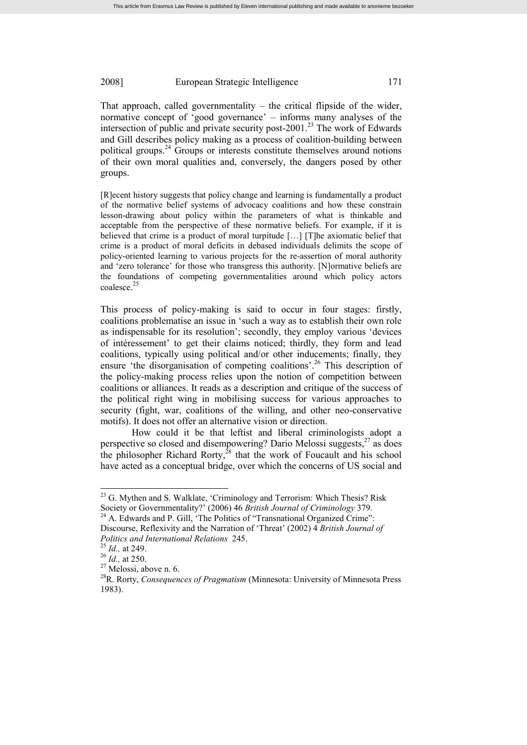That approach, called governmentality – the critical flipside of the wider, normative concept of 'good governance' – informs many analyses of the intersection of public and private security post- $2001<sup>23</sup>$  The work of Edwards and Gill describes policy making as a process of coalition-building between political groups.<sup>24</sup> Groups or interests constitute themselves around notions of their own moral qualities and, conversely, the dangers posed by other groups.

[R]ecent history suggests that policy change and learning is fundamentally a product of the normative belief systems of advocacy coalitions and how these constrain lesson-drawing about policy within the parameters of what is thinkable and acceptable from the perspective of these normative beliefs. For example, if it is believed that crime is a product of moral turpitude […] [T]he axiomatic belief that crime is a product of moral deficits in debased individuals delimits the scope of policy-oriented learning to various projects for the re-assertion of moral authority and 'zero tolerance' for those who transgress this authority. [N]ormative beliefs are the foundations of competing governmentalities around which policy actors coalesce. 25

This process of policy-making is said to occur in four stages: firstly, coalitions problematise an issue in 'such a way as to establish their own role as indispensable for its resolution'; secondly, they employ various 'devices of intéressement' to get their claims noticed; thirdly, they form and lead coalitions, typically using political and/or other inducements; finally, they ensure 'the disorganisation of competing coalitions'.<sup>26</sup> This description of the policy-making process relies upon the notion of competition between coalitions or alliances. It reads as a description and critique of the success of the political right wing in mobilising success for various approaches to security (fight, war, coalitions of the willing, and other neo-conservative motifs). It does not offer an alternative vision or direction.

How could it be that leftist and liberal criminologists adopt a perspective so closed and disempowering? Dario Melossi suggests, $27$  as does the philosopher Richard Rorty, $^{28}$  that the work of Foucault and his school have acted as a conceptual bridge, over which the concerns of US social and

<sup>&</sup>lt;sup>23</sup> G. Mythen and S. Walklate, 'Criminology and Terrorism: Which Thesis? Risk Society or Governmentality?' (2006) 46 *British Journal of Criminology* 379.

<sup>&</sup>lt;sup>24</sup> A. Edwards and P. Gill, 'The Politics of "Transnational Organized Crime": Discourse, Reflexivity and the Narration of 'Threat' (2002) 4 *British Journal of Politics and International Relations* 245.

<sup>25</sup> *Id.,* at 249.

<sup>26</sup> *Id.,* at 250.

 $27$  Melossi, above n. 6.

<sup>28</sup>R. Rorty, *Consequences of Pragmatism* (Minnesota: University of Minnesota Press 1983).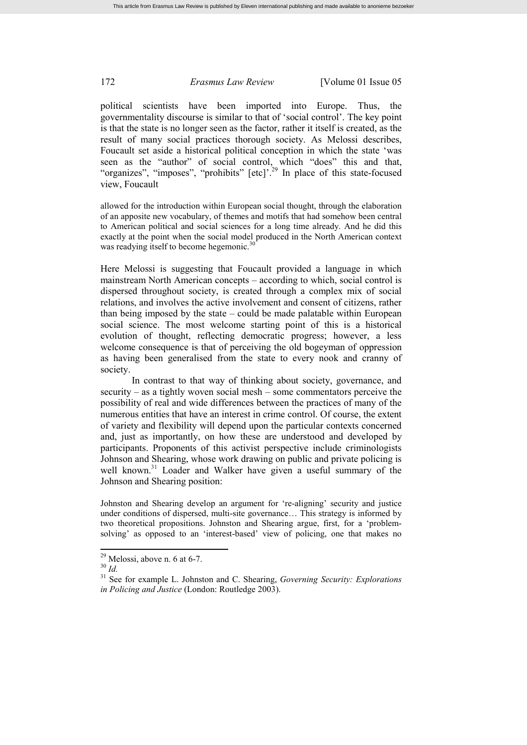political scientists have been imported into Europe. Thus, the governmentality discourse is similar to that of 'social control'. The key point is that the state is no longer seen as the factor, rather it itself is created, as the result of many social practices thorough society. As Melossi describes, Foucault set aside a historical political conception in which the state 'was seen as the "author" of social control, which "does" this and that, "organizes", "imposes", "prohibits" [etc]'.<sup>29</sup> In place of this state-focused view, Foucault

allowed for the introduction within European social thought, through the elaboration of an apposite new vocabulary, of themes and motifs that had somehow been central to American political and social sciences for a long time already. And he did this exactly at the point when the social model produced in the North American context was readying itself to become hegemonic.<sup>30</sup>

Here Melossi is suggesting that Foucault provided a language in which mainstream North American concepts – according to which, social control is dispersed throughout society, is created through a complex mix of social relations, and involves the active involvement and consent of citizens, rather than being imposed by the state – could be made palatable within European social science. The most welcome starting point of this is a historical evolution of thought, reflecting democratic progress; however, a less welcome consequence is that of perceiving the old bogeyman of oppression as having been generalised from the state to every nook and cranny of society.

In contrast to that way of thinking about society, governance, and security – as a tightly woven social mesh – some commentators perceive the possibility of real and wide differences between the practices of many of the numerous entities that have an interest in crime control. Of course, the extent of variety and flexibility will depend upon the particular contexts concerned and, just as importantly, on how these are understood and developed by participants. Proponents of this activist perspective include criminologists Johnson and Shearing, whose work drawing on public and private policing is well known.<sup>31</sup> Loader and Walker have given a useful summary of the Johnson and Shearing position:

Johnston and Shearing develop an argument for 're-aligning' security and justice under conditions of dispersed, multi-site governance… This strategy is informed by two theoretical propositions. Johnston and Shearing argue, first, for a 'problemsolving' as opposed to an 'interest-based' view of policing, one that makes no

 $29$  Melossi, above n. 6 at 6-7.

<sup>30</sup> *Id.*

<sup>31</sup> See for example L. Johnston and C. Shearing, *Governing Security: Explorations in Policing and Justice* (London: Routledge 2003).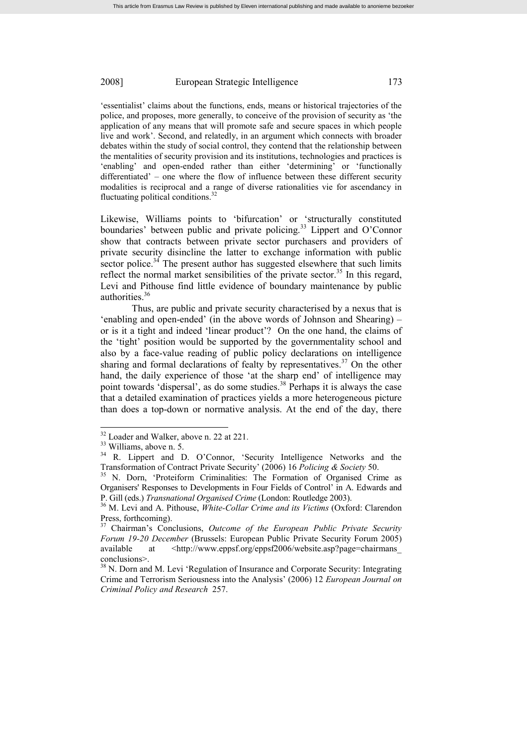'essentialist' claims about the functions, ends, means or historical trajectories of the police, and proposes, more generally, to conceive of the provision of security as 'the application of any means that will promote safe and secure spaces in which people live and work'. Second, and relatedly, in an argument which connects with broader debates within the study of social control, they contend that the relationship between the mentalities of security provision and its institutions, technologies and practices is 'enabling' and open-ended rather than either 'determining' or 'functionally differentiated' – one where the flow of influence between these different security modalities is reciprocal and a range of diverse rationalities vie for ascendancy in fluctuating political conditions.<sup>32</sup>

Likewise, Williams points to 'bifurcation' or 'structurally constituted boundaries' between public and private policing.<sup>33</sup> Lippert and O'Connor show that contracts between private sector purchasers and providers of private security disincline the latter to exchange information with public sector police.<sup>34</sup> The present author has suggested elsewhere that such limits reflect the normal market sensibilities of the private sector.<sup>35</sup> In this regard, Levi and Pithouse find little evidence of boundary maintenance by public authorities.<sup>36</sup>

Thus, are public and private security characterised by a nexus that is 'enabling and open-ended' (in the above words of Johnson and Shearing) – or is it a tight and indeed 'linear product'? On the one hand, the claims of the 'tight' position would be supported by the governmentality school and also by a face-value reading of public policy declarations on intelligence sharing and formal declarations of fealty by representatives. $37$  On the other hand, the daily experience of those 'at the sharp end' of intelligence may point towards 'dispersal', as do some studies.<sup>38</sup> Perhaps it is always the case that a detailed examination of practices yields a more heterogeneous picture than does a top-down or normative analysis. At the end of the day, there

<sup>&</sup>lt;sup>32</sup> Loader and Walker, above n. 22 at 221.

<sup>33</sup> Williams, above n. 5.

<sup>&</sup>lt;sup>34</sup> R. Lippert and D. O'Connor, 'Security Intelligence Networks and the Transformation of Contract Private Security' (2006) 16 *Policing & Society* 50.

<sup>&</sup>lt;sup>35</sup> N. Dorn, 'Proteiform Criminalities: The Formation of Organised Crime as Organisers' Responses to Developments in Four Fields of Control' in A. Edwards and P. Gill (eds.) *Transnational Organised Crime* (London: Routledge 2003).

<sup>36</sup> M. Levi and A. Pithouse, *White-Collar Crime and its Victims* (Oxford: Clarendon Press, forthcoming).

<sup>37</sup> Chairman's Conclusions, *Outcome of the European Public Private Security Forum 19-20 December* (Brussels: European Public Private Security Forum 2005) available at  $\langle \text{http://www.eppsf.org/eppsf2006/website,asp?page=chairmans}$ conclusions>.

<sup>&</sup>lt;sup>38</sup> N. Dorn and M. Levi 'Regulation of Insurance and Corporate Security: Integrating Crime and Terrorism Seriousness into the Analysis' (2006) 12 *European Journal on Criminal Policy and Research* 257.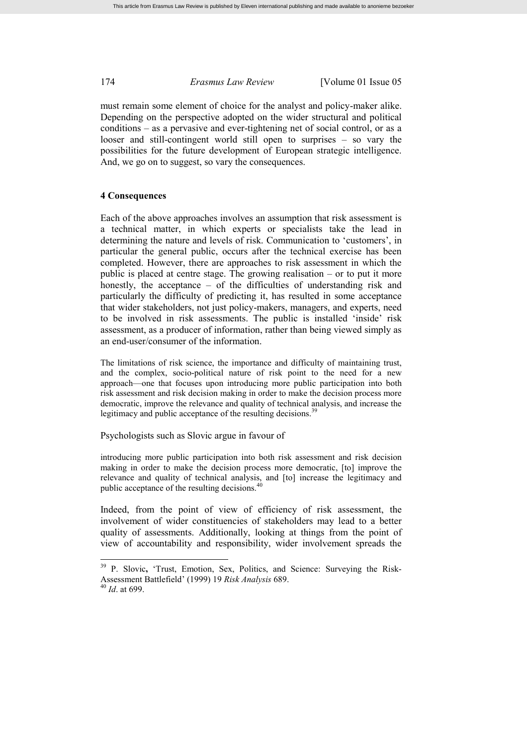must remain some element of choice for the analyst and policy-maker alike. Depending on the perspective adopted on the wider structural and political conditions – as a pervasive and ever-tightening net of social control, or as a looser and still-contingent world still open to surprises – so vary the possibilities for the future development of European strategic intelligence. And, we go on to suggest, so vary the consequences.

#### **4 Consequences**

Each of the above approaches involves an assumption that risk assessment is a technical matter, in which experts or specialists take the lead in determining the nature and levels of risk. Communication to 'customers', in particular the general public, occurs after the technical exercise has been completed. However, there are approaches to risk assessment in which the public is placed at centre stage. The growing realisation – or to put it more honestly, the acceptance – of the difficulties of understanding risk and particularly the difficulty of predicting it, has resulted in some acceptance that wider stakeholders, not just policy-makers, managers, and experts, need to be involved in risk assessments. The public is installed 'inside' risk assessment, as a producer of information, rather than being viewed simply as an end-user/consumer of the information.

The limitations of risk science, the importance and difficulty of maintaining trust, and the complex, socio-political nature of risk point to the need for a new approach—one that focuses upon introducing more public participation into both risk assessment and risk decision making in order to make the decision process more democratic, improve the relevance and quality of technical analysis, and increase the legitimacy and public acceptance of the resulting decisions.<sup>39</sup>

Psychologists such as Slovic argue in favour of

introducing more public participation into both risk assessment and risk decision making in order to make the decision process more democratic, [to] improve the relevance and quality of technical analysis, and [to] increase the legitimacy and public acceptance of the resulting decisions.<sup>4</sup>

Indeed, from the point of view of efficiency of risk assessment, the involvement of wider constituencies of stakeholders may lead to a better quality of assessments. Additionally, looking at things from the point of view of accountability and responsibility, wider involvement spreads the

<sup>&</sup>lt;sup>39</sup> P. Slovic, 'Trust, Emotion, Sex, Politics, and Science: Surveying the Risk-Assessment Battlefield' (1999) 19 *Risk Analysis* 689. <sup>40</sup> *Id*. at 699.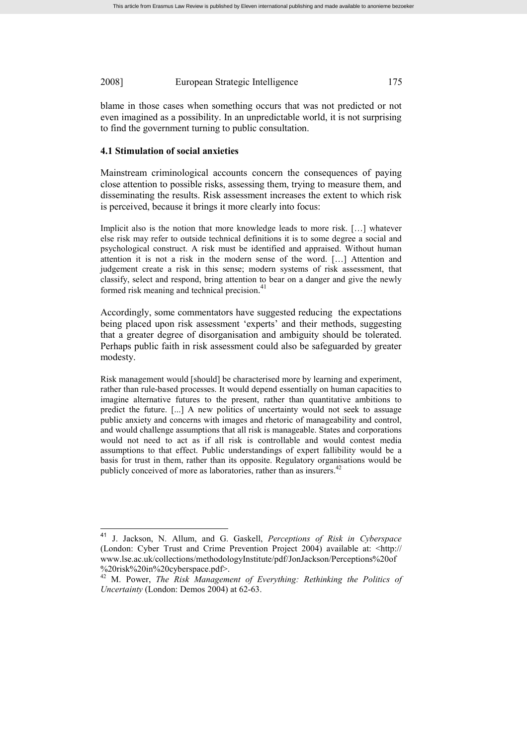blame in those cases when something occurs that was not predicted or not even imagined as a possibility. In an unpredictable world, it is not surprising to find the government turning to public consultation.

#### **4.1 Stimulation of social anxieties**

Mainstream criminological accounts concern the consequences of paying close attention to possible risks, assessing them, trying to measure them, and disseminating the results. Risk assessment increases the extent to which risk is perceived, because it brings it more clearly into focus:

Implicit also is the notion that more knowledge leads to more risk. […] whatever else risk may refer to outside technical definitions it is to some degree a social and psychological construct. A risk must be identified and appraised. Without human attention it is not a risk in the modern sense of the word. […] Attention and judgement create a risk in this sense; modern systems of risk assessment, that classify, select and respond, bring attention to bear on a danger and give the newly formed risk meaning and technical precision. 41

Accordingly, some commentators have suggested reducing the expectations being placed upon risk assessment 'experts' and their methods, suggesting that a greater degree of disorganisation and ambiguity should be tolerated. Perhaps public faith in risk assessment could also be safeguarded by greater modesty.

Risk management would [should] be characterised more by learning and experiment, rather than rule-based processes. It would depend essentially on human capacities to imagine alternative futures to the present, rather than quantitative ambitions to predict the future. [...] A new politics of uncertainty would not seek to assuage public anxiety and concerns with images and rhetoric of manageability and control, and would challenge assumptions that all risk is manageable. States and corporations would not need to act as if all risk is controllable and would contest media assumptions to that effect. Public understandings of expert fallibility would be a basis for trust in them, rather than its opposite. Regulatory organisations would be publicly conceived of more as laboratories, rather than as insurers.<sup>42</sup>

<sup>41</sup> J. Jackson, N. Allum, and G. Gaskell, *Perceptions of Risk in Cyberspace* (London: Cyber Trust and Crime Prevention Project 2004) available at: <http:// www.lse.ac.uk/collections/methodologyInstitute/pdf/JonJackson/Perceptions%20of %20risk%20in%20cyberspace.pdf>.

<sup>42</sup> M. Power, *The Risk Management of Everything: Rethinking the Politics of Uncertainty* (London: Demos 2004) at 62-63.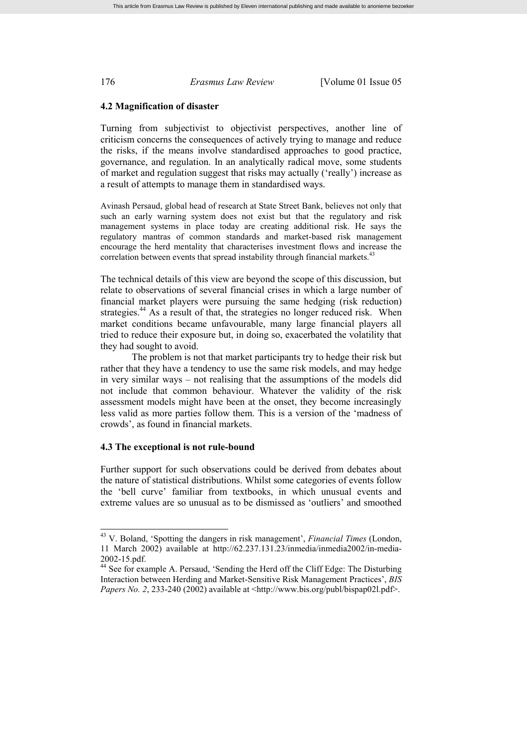#### **4.2 Magnification of disaster**

Turning from subjectivist to objectivist perspectives, another line of criticism concerns the consequences of actively trying to manage and reduce the risks, if the means involve standardised approaches to good practice, governance, and regulation. In an analytically radical move, some students of market and regulation suggest that risks may actually ('really') increase as a result of attempts to manage them in standardised ways.

Avinash Persaud, global head of research at State Street Bank, believes not only that such an early warning system does not exist but that the regulatory and risk management systems in place today are creating additional risk. He says the regulatory mantras of common standards and market-based risk management encourage the herd mentality that characterises investment flows and increase the correlation between events that spread instability through financial markets.<sup>43</sup>

The technical details of this view are beyond the scope of this discussion, but relate to observations of several financial crises in which a large number of financial market players were pursuing the same hedging (risk reduction) strategies.<sup>44</sup> As a result of that, the strategies no longer reduced risk. When market conditions became unfavourable, many large financial players all tried to reduce their exposure but, in doing so, exacerbated the volatility that they had sought to avoid.

The problem is not that market participants try to hedge their risk but rather that they have a tendency to use the same risk models, and may hedge in very similar ways – not realising that the assumptions of the models did not include that common behaviour. Whatever the validity of the risk assessment models might have been at the onset, they become increasingly less valid as more parties follow them. This is a version of the 'madness of crowds', as found in financial markets.

#### **4.3 The exceptional is not rule-bound**

Further support for such observations could be derived from debates about the nature of statistical distributions. Whilst some categories of events follow the 'bell curve' familiar from textbooks, in which unusual events and extreme values are so unusual as to be dismissed as 'outliers' and smoothed

<sup>43</sup> V. Boland, 'Spotting the dangers in risk management', *Financial Times* (London, 11 March 2002) available at http://62.237.131.23/inmedia/inmedia2002/in-media-2002-15.pdf.

<sup>&</sup>lt;sup>44</sup> See for example A. Persaud, 'Sending the Herd off the Cliff Edge: The Disturbing Interaction between Herding and Market-Sensitive Risk Management Practices', *BIS Papers No. 2*, 233-240 (2002) available at <http://www.bis.org/publ/bispap02l.pdf>.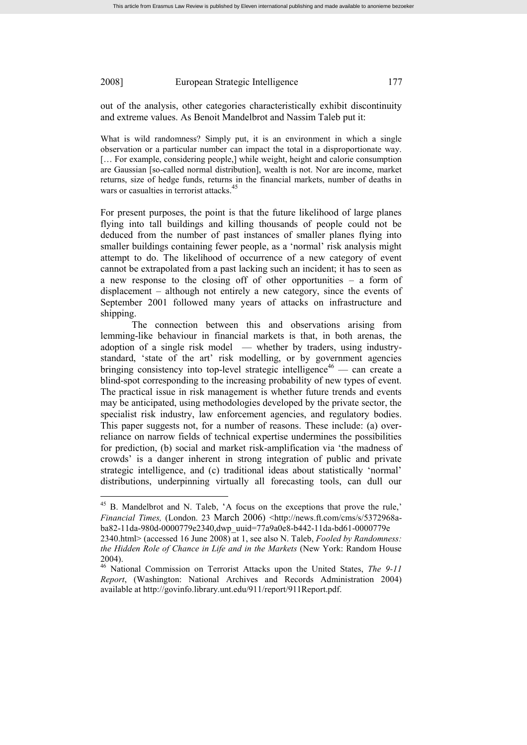out of the analysis, other categories characteristically exhibit discontinuity and extreme values. As Benoit Mandelbrot and Nassim Taleb put it:

What is wild randomness? Simply put, it is an environment in which a single observation or a particular number can impact the total in a disproportionate way. [... For example, considering people,] while weight, height and calorie consumption are Gaussian [so-called normal distribution], wealth is not. Nor are income, market returns, size of hedge funds, returns in the financial markets, number of deaths in wars or casualties in terrorist attacks.<sup>45</sup>

For present purposes, the point is that the future likelihood of large planes flying into tall buildings and killing thousands of people could not be deduced from the number of past instances of smaller planes flying into smaller buildings containing fewer people, as a 'normal' risk analysis might attempt to do. The likelihood of occurrence of a new category of event cannot be extrapolated from a past lacking such an incident; it has to seen as a new response to the closing off of other opportunities – a form of displacement – although not entirely a new category, since the events of September 2001 followed many years of attacks on infrastructure and shipping.

The connection between this and observations arising from lemming-like behaviour in financial markets is that, in both arenas, the adoption of a single risk model — whether by traders, using industrystandard, 'state of the art' risk modelling, or by government agencies bringing consistency into top-level strategic intelligence<sup>46</sup> — can create a blind-spot corresponding to the increasing probability of new types of event. The practical issue in risk management is whether future trends and events may be anticipated, using methodologies developed by the private sector, the specialist risk industry, law enforcement agencies, and regulatory bodies. This paper suggests not, for a number of reasons. These include: (a) overreliance on narrow fields of technical expertise undermines the possibilities for prediction, (b) social and market risk-amplification via 'the madness of crowds' is a danger inherent in strong integration of public and private strategic intelligence, and (c) traditional ideas about statistically 'normal' distributions, underpinning virtually all forecasting tools, can dull our

<sup>&</sup>lt;sup>45</sup> B. Mandelbrot and N. Taleb, 'A focus on the exceptions that prove the rule,' *Financial Times,* (London. 23 March 2006) <http://news.ft.com/cms/s/5372968aba82-11da-980d-0000779e2340,dwp\_uuid=77a9a0e8-b442-11da-bd61-0000779e

<sup>2340.</sup>html> (accessed 16 June 2008) at 1, see also N. Taleb, *Fooled by Randomness: the Hidden Role of Chance in Life and in the Markets* (New York: Random House 2004).

<sup>46</sup> National Commission on Terrorist Attacks upon the United States, *The 9-11 Report*, (Washington: National Archives and Records Administration 2004) available at http://govinfo.library.unt.edu/911/report/911Report.pdf.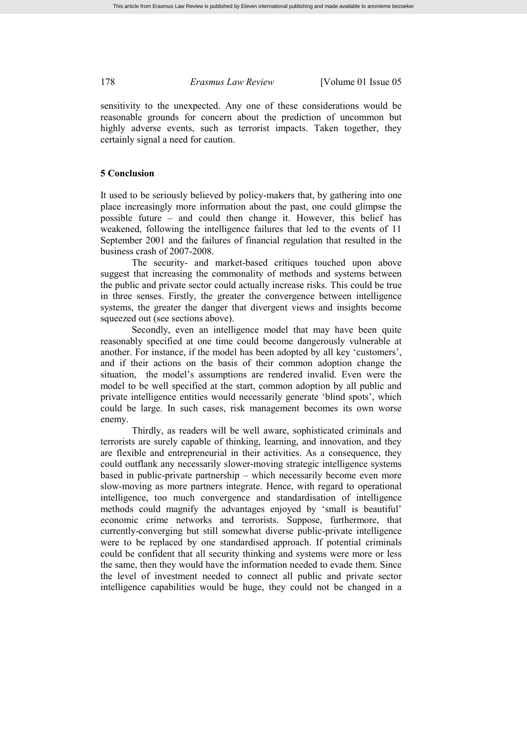sensitivity to the unexpected. Any one of these considerations would be reasonable grounds for concern about the prediction of uncommon but highly adverse events, such as terrorist impacts. Taken together, they certainly signal a need for caution.

# **5 Conclusion**

It used to be seriously believed by policy-makers that, by gathering into one place increasingly more information about the past, one could glimpse the possible future – and could then change it. However, this belief has weakened, following the intelligence failures that led to the events of 11 September 2001 and the failures of financial regulation that resulted in the business crash of 2007-2008.

The security- and market-based critiques touched upon above suggest that increasing the commonality of methods and systems between the public and private sector could actually increase risks. This could be true in three senses. Firstly, the greater the convergence between intelligence systems, the greater the danger that divergent views and insights become squeezed out (see sections above).

Secondly, even an intelligence model that may have been quite reasonably specified at one time could become dangerously vulnerable at another. For instance, if the model has been adopted by all key 'customers', and if their actions on the basis of their common adoption change the situation, the model's assumptions are rendered invalid. Even were the model to be well specified at the start, common adoption by all public and private intelligence entities would necessarily generate 'blind spots', which could be large. In such cases, risk management becomes its own worse enemy.

Thirdly, as readers will be well aware, sophisticated criminals and terrorists are surely capable of thinking, learning, and innovation, and they are flexible and entrepreneurial in their activities. As a consequence, they could outflank any necessarily slower-moving strategic intelligence systems based in public-private partnership – which necessarily become even more slow-moving as more partners integrate. Hence, with regard to operational intelligence, too much convergence and standardisation of intelligence methods could magnify the advantages enjoyed by 'small is beautiful' economic crime networks and terrorists. Suppose, furthermore, that currently-converging but still somewhat diverse public-private intelligence were to be replaced by one standardised approach. If potential criminals could be confident that all security thinking and systems were more or less the same, then they would have the information needed to evade them. Since the level of investment needed to connect all public and private sector intelligence capabilities would be huge, they could not be changed in a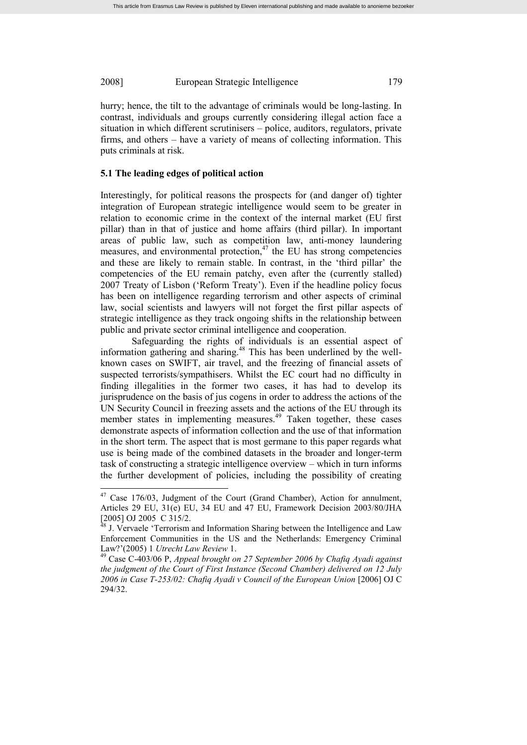hurry; hence, the tilt to the advantage of criminals would be long-lasting. In contrast, individuals and groups currently considering illegal action face a situation in which different scrutinisers – police, auditors, regulators, private firms, and others – have a variety of means of collecting information. This puts criminals at risk.

#### **5.1 The leading edges of political action**

Interestingly, for political reasons the prospects for (and danger of) tighter integration of European strategic intelligence would seem to be greater in relation to economic crime in the context of the internal market (EU first pillar) than in that of justice and home affairs (third pillar). In important areas of public law, such as competition law, anti-money laundering measures, and environmental protection, $47$  the EU has strong competencies and these are likely to remain stable. In contrast, in the 'third pillar' the competencies of the EU remain patchy, even after the (currently stalled) 2007 Treaty of Lisbon ('Reform Treaty'). Even if the headline policy focus has been on intelligence regarding terrorism and other aspects of criminal law, social scientists and lawyers will not forget the first pillar aspects of strategic intelligence as they track ongoing shifts in the relationship between public and private sector criminal intelligence and cooperation.

Safeguarding the rights of individuals is an essential aspect of information gathering and sharing.<sup>48</sup> This has been underlined by the wellknown cases on SWIFT, air travel, and the freezing of financial assets of suspected terrorists/sympathisers. Whilst the EC court had no difficulty in finding illegalities in the former two cases, it has had to develop its jurisprudence on the basis of jus cogens in order to address the actions of the UN Security Council in freezing assets and the actions of the EU through its member states in implementing measures.<sup>49</sup> Taken together, these cases demonstrate aspects of information collection and the use of that information in the short term. The aspect that is most germane to this paper regards what use is being made of the combined datasets in the broader and longer-term task of constructing a strategic intelligence overview – which in turn informs the further development of policies, including the possibility of creating

<sup>&</sup>lt;sup>47</sup> Case 176/03, Judgment of the Court (Grand Chamber), Action for annulment, Articles 29 EU, 31(e) EU, 34 EU and 47 EU, Framework Decision 2003/80/JHA [2005] OJ 2005 C 315/2.

<sup>&</sup>lt;sup>48</sup> J. Vervaele 'Terrorism and Information Sharing between the Intelligence and Law Enforcement Communities in the US and the Netherlands: Emergency Criminal Law?'(2005) 1 *Utrecht Law Review* 1.

<sup>49</sup> Case C-403/06 P, *Appeal brought on 27 September 2006 by Chafiq Ayadi against the judgment of the Court of First Instance (Second Chamber) delivered on 12 July 2006 in Case T-253/02: Chafiq Ayadi v Council of the European Union* [2006] OJ C 294/32.